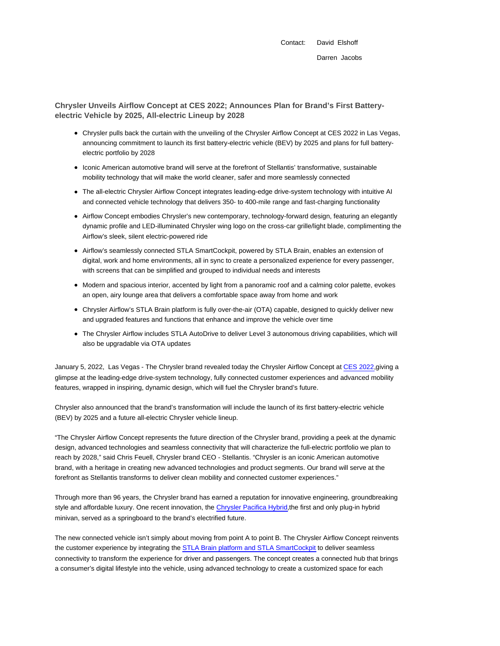**Chrysler Unveils Airflow Concept at CES 2022; Announces Plan for Brand's First Batteryelectric Vehicle by 2025, All-electric Lineup by 2028**

- Chrysler pulls back the curtain with the unveiling of the Chrysler Airflow Concept at CES 2022 in Las Vegas, announcing commitment to launch its first battery-electric vehicle (BEV) by 2025 and plans for full batteryelectric portfolio by 2028
- Iconic American automotive brand will serve at the forefront of Stellantis' transformative, sustainable mobility technology that will make the world cleaner, safer and more seamlessly connected
- The all-electric Chrysler Airflow Concept integrates leading-edge drive-system technology with intuitive AI and connected vehicle technology that delivers 350- to 400-mile range and fast-charging functionality
- Airflow Concept embodies Chrysler's new contemporary, technology-forward design, featuring an elegantly dynamic profile and LED-illuminated Chrysler wing logo on the cross-car grille/light blade, complimenting the Airflow's sleek, silent electric-powered ride
- Airflow's seamlessly connected STLA SmartCockpit, powered by STLA Brain, enables an extension of digital, work and home environments, all in sync to create a personalized experience for every passenger, with screens that can be simplified and grouped to individual needs and interests
- Modern and spacious interior, accented by light from a panoramic roof and a calming color palette, evokes an open, airy lounge area that delivers a comfortable space away from home and work
- Chrysler Airflow's STLA Brain platform is fully over-the-air (OTA) capable, designed to quickly deliver new and upgraded features and functions that enhance and improve the vehicle over time
- The Chrysler Airflow includes STLA AutoDrive to deliver Level 3 autonomous driving capabilities, which will also be upgradable via OTA updates

January 5, 2022, Las Vegas - The Chrysler brand revealed today the Chrysler Airflow Concept at CES 2022,giving a glimpse at the leading-edge drive-system technology, fully connected customer experiences and advanced mobility features, wrapped in inspiring, dynamic design, which will fuel the Chrysler brand's future.

Chrysler also announced that the brand's transformation will include the launch of its first battery-electric vehicle (BEV) by 2025 and a future all-electric Chrysler vehicle lineup.

"The Chrysler Airflow Concept represents the future direction of the Chrysler brand, providing a peek at the dynamic design, advanced technologies and seamless connectivity that will characterize the full-electric portfolio we plan to reach by 2028," said Chris Feuell, Chrysler brand CEO - Stellantis. "Chrysler is an iconic American automotive brand, with a heritage in creating new advanced technologies and product segments. Our brand will serve at the forefront as Stellantis transforms to deliver clean mobility and connected customer experiences."

Through more than 96 years, the Chrysler brand has earned a reputation for innovative engineering, groundbreaking style and affordable luxury. One recent innovation, the Chrysler Pacifica Hybrid,the first and only plug-in hybrid minivan, served as a springboard to the brand's electrified future.

The new connected vehicle isn't simply about moving from point A to point B. The Chrysler Airflow Concept reinvents the customer experience by integrating the STLA Brain platform and STLA SmartCockpit to deliver seamless connectivity to transform the experience for driver and passengers. The concept creates a connected hub that brings a consumer's digital lifestyle into the vehicle, using advanced technology to create a customized space for each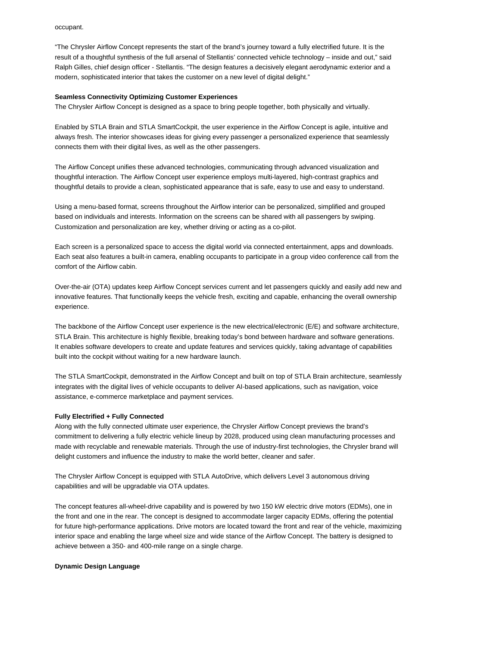"The Chrysler Airflow Concept represents the start of the brand's journey toward a fully electrified future. It is the result of a thoughtful synthesis of the full arsenal of Stellantis' connected vehicle technology – inside and out," said Ralph Gilles, chief design officer - Stellantis. "The design features a decisively elegant aerodynamic exterior and a modern, sophisticated interior that takes the customer on a new level of digital delight."

#### **Seamless Connectivity Optimizing Customer Experiences**

The Chrysler Airflow Concept is designed as a space to bring people together, both physically and virtually.

Enabled by STLA Brain and STLA SmartCockpit, the user experience in the Airflow Concept is agile, intuitive and always fresh. The interior showcases ideas for giving every passenger a personalized experience that seamlessly connects them with their digital lives, as well as the other passengers.

The Airflow Concept unifies these advanced technologies, communicating through advanced visualization and thoughtful interaction. The Airflow Concept user experience employs multi-layered, high-contrast graphics and thoughtful details to provide a clean, sophisticated appearance that is safe, easy to use and easy to understand.

Using a menu-based format, screens throughout the Airflow interior can be personalized, simplified and grouped based on individuals and interests. Information on the screens can be shared with all passengers by swiping. Customization and personalization are key, whether driving or acting as a co-pilot.

Each screen is a personalized space to access the digital world via connected entertainment, apps and downloads. Each seat also features a built-in camera, enabling occupants to participate in a group video conference call from the comfort of the Airflow cabin.

Over-the-air (OTA) updates keep Airflow Concept services current and let passengers quickly and easily add new and innovative features. That functionally keeps the vehicle fresh, exciting and capable, enhancing the overall ownership experience.

The backbone of the Airflow Concept user experience is the new electrical/electronic (E/E) and software architecture, STLA Brain. This architecture is highly flexible, breaking today's bond between hardware and software generations. It enables software developers to create and update features and services quickly, taking advantage of capabilities built into the cockpit without waiting for a new hardware launch.

The STLA SmartCockpit, demonstrated in the Airflow Concept and built on top of STLA Brain architecture, seamlessly integrates with the digital lives of vehicle occupants to deliver AI-based applications, such as navigation, voice assistance, e-commerce marketplace and payment services.

## **Fully Electrified + Fully Connected**

Along with the fully connected ultimate user experience, the Chrysler Airflow Concept previews the brand's commitment to delivering a fully electric vehicle lineup by 2028, produced using clean manufacturing processes and made with recyclable and renewable materials. Through the use of industry-first technologies, the Chrysler brand will delight customers and influence the industry to make the world better, cleaner and safer.

The Chrysler Airflow Concept is equipped with STLA AutoDrive, which delivers Level 3 autonomous driving capabilities and will be upgradable via OTA updates.

The concept features all-wheel-drive capability and is powered by two 150 kW electric drive motors (EDMs), one in the front and one in the rear. The concept is designed to accommodate larger capacity EDMs, offering the potential for future high-performance applications. Drive motors are located toward the front and rear of the vehicle, maximizing interior space and enabling the large wheel size and wide stance of the Airflow Concept. The battery is designed to achieve between a 350- and 400-mile range on a single charge.

### **Dynamic Design Language**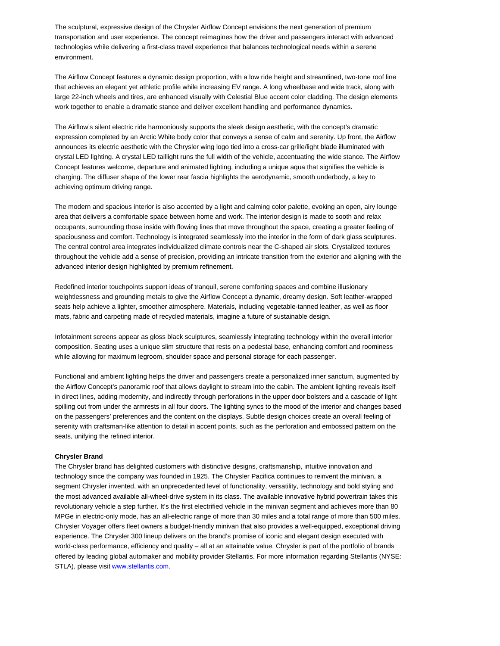The sculptural, expressive design of the Chrysler Airflow Concept envisions the next generation of premium transportation and user experience. The concept reimagines how the driver and passengers interact with advanced technologies while delivering a first-class travel experience that balances technological needs within a serene environment.

The Airflow Concept features a dynamic design proportion, with a low ride height and streamlined, two-tone roof line that achieves an elegant yet athletic profile while increasing EV range. A long wheelbase and wide track, along with large 22-inch wheels and tires, are enhanced visually with Celestial Blue accent color cladding. The design elements work together to enable a dramatic stance and deliver excellent handling and performance dynamics.

The Airflow's silent electric ride harmoniously supports the sleek design aesthetic, with the concept's dramatic expression completed by an Arctic White body color that conveys a sense of calm and serenity. Up front, the Airflow announces its electric aesthetic with the Chrysler wing logo tied into a cross-car grille/light blade illuminated with crystal LED lighting. A crystal LED taillight runs the full width of the vehicle, accentuating the wide stance. The Airflow Concept features welcome, departure and animated lighting, including a unique aqua that signifies the vehicle is charging. The diffuser shape of the lower rear fascia highlights the aerodynamic, smooth underbody, a key to achieving optimum driving range.

The modern and spacious interior is also accented by a light and calming color palette, evoking an open, airy lounge area that delivers a comfortable space between home and work. The interior design is made to sooth and relax occupants, surrounding those inside with flowing lines that move throughout the space, creating a greater feeling of spaciousness and comfort. Technology is integrated seamlessly into the interior in the form of dark glass sculptures. The central control area integrates individualized climate controls near the C-shaped air slots. Crystalized textures throughout the vehicle add a sense of precision, providing an intricate transition from the exterior and aligning with the advanced interior design highlighted by premium refinement.

Redefined interior touchpoints support ideas of tranquil, serene comforting spaces and combine illusionary weightlessness and grounding metals to give the Airflow Concept a dynamic, dreamy design. Soft leather-wrapped seats help achieve a lighter, smoother atmosphere. Materials, including vegetable-tanned leather, as well as floor mats, fabric and carpeting made of recycled materials, imagine a future of sustainable design.

Infotainment screens appear as gloss black sculptures, seamlessly integrating technology within the overall interior composition. Seating uses a unique slim structure that rests on a pedestal base, enhancing comfort and roominess while allowing for maximum legroom, shoulder space and personal storage for each passenger.

Functional and ambient lighting helps the driver and passengers create a personalized inner sanctum, augmented by the Airflow Concept's panoramic roof that allows daylight to stream into the cabin. The ambient lighting reveals itself in direct lines, adding modernity, and indirectly through perforations in the upper door bolsters and a cascade of light spilling out from under the armrests in all four doors. The lighting syncs to the mood of the interior and changes based on the passengers' preferences and the content on the displays. Subtle design choices create an overall feeling of serenity with craftsman-like attention to detail in accent points, such as the perforation and embossed pattern on the seats, unifying the refined interior.

#### **Chrysler Brand**

The Chrysler brand has delighted customers with distinctive designs, craftsmanship, intuitive innovation and technology since the company was founded in 1925. The Chrysler Pacifica continues to reinvent the minivan, a segment Chrysler invented, with an unprecedented level of functionality, versatility, technology and bold styling and the most advanced available all-wheel-drive system in its class. The available innovative hybrid powertrain takes this revolutionary vehicle a step further. It's the first electrified vehicle in the minivan segment and achieves more than 80 MPGe in electric-only mode, has an all-electric range of more than 30 miles and a total range of more than 500 miles. Chrysler Voyager offers fleet owners a budget-friendly minivan that also provides a well-equipped, exceptional driving experience. The Chrysler 300 lineup delivers on the brand's promise of iconic and elegant design executed with world-class performance, efficiency and quality – all at an attainable value. Chrysler is part of the portfolio of brands offered by leading global automaker and mobility provider Stellantis. For more information regarding Stellantis (NYSE: STLA), please visit www.stellantis.com.